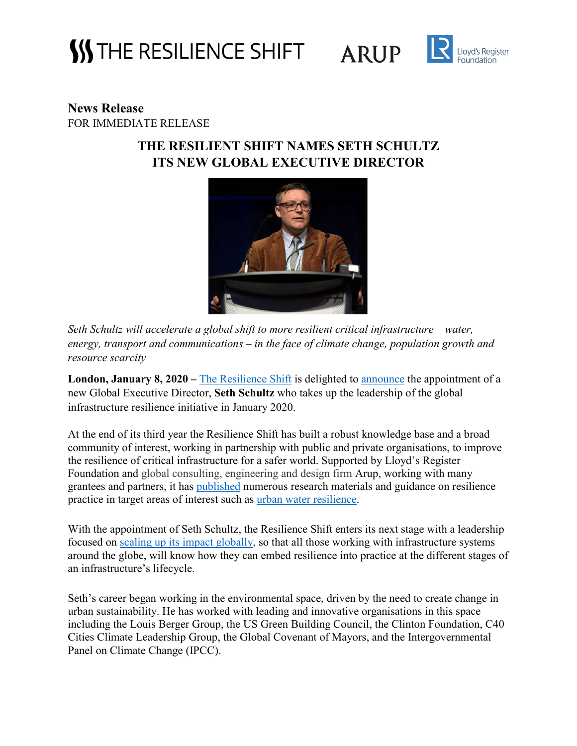### **SS THE RESILIENCE SHIFT**

**ARUP** 



### **News Release** FOR IMMEDIATE RELEASE

### **THE RESILIENT SHIFT NAMES SETH SCHULTZ ITS NEW GLOBAL EXECUTIVE DIRECTOR**



*Seth Schultz will accelerate a global shift to more resilient critical infrastructure – water, energy, transport and communications – in the face of climate change, population growth and resource scarcity* 

London, January 8, 2020 – [The Resilience Shift](https://www.resilienceshift.org/) is delighted to **announce** the appointment of a new Global Executive Director, **Seth Schultz** who takes up the leadership of the global infrastructure resilience initiative in January 2020.

At the end of its third year the Resilience Shift has built a robust knowledge base and a broad community of interest, working in partnership with public and private organisations, to improve the resilience of critical infrastructure for a safer world. Supported by Lloyd's Register Foundation and global consulting, engineering and design firm Arup, working with many grantees and partners, it has [published](https://www.resilienceshift.org/publications/) numerous research materials and guidance on resilience practice in target areas of interest such as [urban water resilience.](https://www.resilienceshift.org/activities/water-governance/)

With the appointment of Seth Schultz, the Resilience Shift enters its next stage with a leadership focused on [scaling up its impact globally,](https://www.resilienceshift.org/2019-report/) so that all those working with infrastructure systems around the globe, will know how they can embed resilience into practice at the different stages of an infrastructure's lifecycle.

Seth's career began working in the environmental space, driven by the need to create change in urban sustainability. He has worked with leading and innovative organisations in this space including the Louis Berger Group, the US Green Building Council, the Clinton Foundation, C40 Cities Climate Leadership Group, the Global Covenant of Mayors, and the Intergovernmental Panel on Climate Change (IPCC).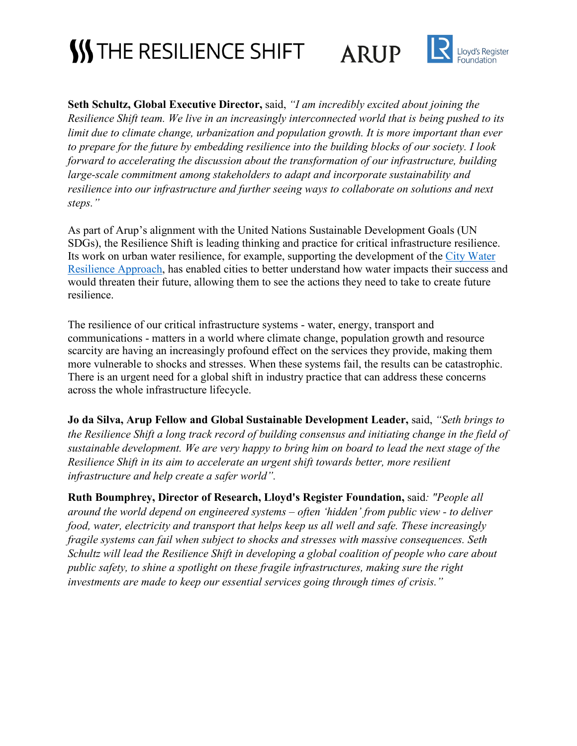# **SS THE RESILIENCE SHIFT**





**Seth Schultz, Global Executive Director,** said, *"I am incredibly excited about joining the Resilience Shift team. We live in an increasingly interconnected world that is being pushed to its limit due to climate change, urbanization and population growth. It is more important than ever to prepare for the future by embedding resilience into the building blocks of our society. I look forward to accelerating the discussion about the transformation of our infrastructure, building large-scale commitment among stakeholders to adapt and incorporate sustainability and resilience into our infrastructure and further seeing ways to collaborate on solutions and next steps."*

As part of Arup's alignment with the United Nations Sustainable Development Goals (UN SDGs), the Resilience Shift is leading thinking and practice for critical infrastructure resilience. Its work on urban water resilience, for example, supporting the development of the [City Water](https://www.resilienceshift.org/campaign/city-water-resilience-approach/)  [Resilience Approach,](https://www.resilienceshift.org/campaign/city-water-resilience-approach/) has enabled cities to better understand how water impacts their success and would threaten their future, allowing them to see the actions they need to take to create future resilience.

The resilience of our critical infrastructure systems - water, energy, transport and communications - matters in a world where climate change, population growth and resource scarcity are having an increasingly profound effect on the services they provide, making them more vulnerable to shocks and stresses. When these systems fail, the results can be catastrophic. There is an urgent need for a global shift in industry practice that can address these concerns across the whole infrastructure lifecycle.

**Jo da Silva, Arup Fellow and Global Sustainable Development Leader,** said, *"Seth brings to the Resilience Shift a long track record of building consensus and initiating change in the field of sustainable development. We are very happy to bring him on board to lead the next stage of the Resilience Shift in its aim to accelerate an urgent shift towards better, more resilient infrastructure and help create a safer world".*

**Ruth Boumphrey, Director of Research, Lloyd's Register Foundation,** said*: "People all around the world depend on engineered systems – often 'hidden' from public view - to deliver food, water, electricity and transport that helps keep us all well and safe. These increasingly fragile systems can fail when subject to shocks and stresses with massive consequences. Seth Schultz will lead the Resilience Shift in developing a global coalition of people who care about public safety, to shine a spotlight on these fragile infrastructures, making sure the right investments are made to keep our essential services going through times of crisis."*